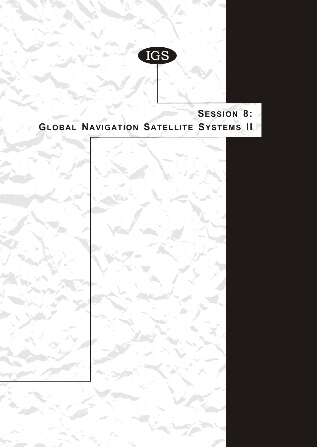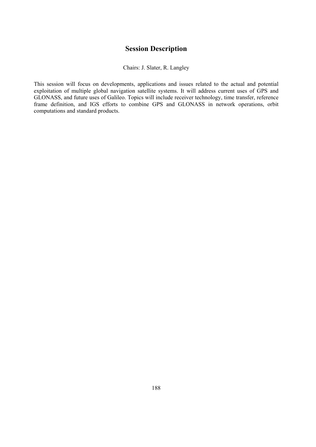## **Session Description**

## Chairs: J. Slater, R. Langley

This session will focus on developments, applications and issues related to the actual and potential exploitation of multiple global navigation satellite systems. It will address current uses of GPS and GLONASS, and future uses of Galileo. Topics will include receiver technology, time transfer, reference frame definition, and IGS efforts to combine GPS and GLONASS in network operations, orbit computations and standard products.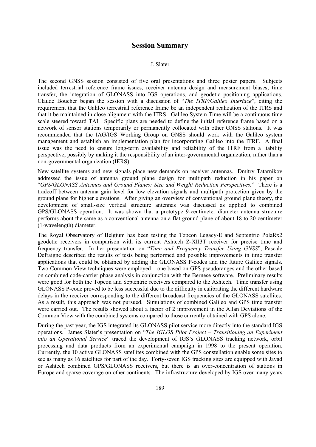## **Session Summary**

## J. Slater

The second GNSS session consisted of five oral presentations and three poster papers. Subjects included terrestrial reference frame issues, receiver antenna design and measurement biases, time transfer, the integration of GLONASS into IGS operations, and geodetic positioning applications. Claude Boucher began the session with a discussion of "*The ITRF/Galileo Interface*", citing the requirement that the Galileo terrestrial reference frame be an independent realization of the ITRS and that it be maintained in close alignment with the ITRS. Galileo System Time will be a continuous time scale steered toward TAI. Specific plans are needed to define the initial reference frame based on a network of sensor stations temporarily or permanently collocated with other GNSS stations. It was recommended that the IAG/IGS Working Group on GNSS should work with the Galileo system management and establish an implementation plan for incorporating Galileo into the ITRF. A final issue was the need to ensure long-term availability and reliability of the ITRF from a liability perspective, possibly by making it the responsibility of an inter-governmental organization, rather than a non-governmental organization (IERS).

New satellite systems and new signals place new demands on receiver antennas. Dmitry Tatarnikov addressed the issue of antenna ground plane design for multipath reduction in his paper on "*GPS/GLONASS Antennas and Ground Planes: Size and Weight Reduction Perspectives*." There is a tradeoff between antenna gain level for low elevation signals and multipath protection given by the ground plane for higher elevations. After giving an overview of conventional ground plane theory, the development of small-size vertical structure antennas was discussed as applied to combined GPS/GLONASS operation. It was shown that a prototype 9-centimeter diameter antenna structure performs about the same as a conventional antenna on a flat ground plane of about 18 to 20-centimeter (1-wavelength) diameter.

The Royal Observatory of Belgium has been testing the Topcon Legacy-E and Septentrio PolaRx2 geodetic receivers in comparison with its current Ashtech Z-XII3T receiver for precise time and frequency transfer. In her presentation on "*Time and Frequency Transfer Using GNSS*", Pascale Defraigne described the results of tests being performed and possible improvements in time transfer applications that could be obtained by adding the GLONASS P-codes and the future Galileo signals. Two Common View techniques were employed – one based on GPS pseudoranges and the other based on combined code-carrier phase analysis in conjunction with the Bernese software. Preliminary results were good for both the Topcon and Septentrio receivers compared to the Ashtech. Time transfer using GLONASS P-code proved to be less successful due to the difficulty in calibrating the different hardware delays in the receiver corresponding to the different broadcast frequencies of the GLONASS satellites. As a result, this approach was not pursued. Simulations of combined Galileo and GPS time transfer were carried out. The results showed about a factor of 2 improvement in the Allan Deviations of the Common View with the combined systems compared to those currently obtained with GPS alone.

During the past year, the IGS integrated its GLONASS pilot service more directly into the standard IGS operations. James Slater's presentation on "*The IGLOS Pilot Project – Transitioning an Experiment into an Operational Service*" traced the development of IGS's GLONASS tracking network, orbit processing and data products from an experimental campaign in 1998 to the present operation. Currently, the 10 active GLONASS satellites combined with the GPS constellation enable some sites to see as many as 16 satellites for part of the day. Forty-seven IGS tracking sites are equipped with Javad or Ashtech combined GPS/GLONASS receivers, but there is an over-concentration of stations in Europe and sparse coverage on other continents. The infrastructure developed by IGS over many years